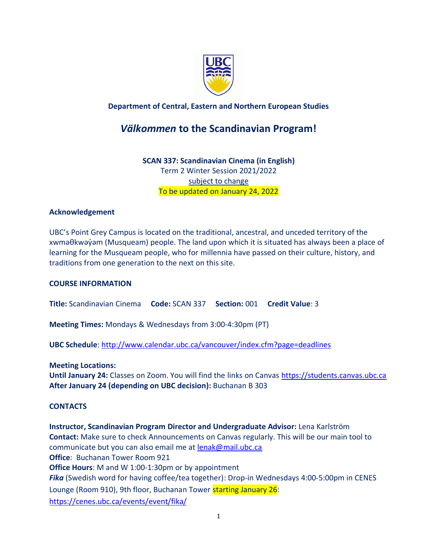

# **Department of Central, Eastern and Northern European Studies**

# *Välkommen* **to the Scandinavian Program!**

**SCAN 337: Scandinavian Cinema (in English)** Term 2 Winter Session 2021/2022 subject to change To be updated on January 24, 2022

### **Acknowledgement**

UBC's Point Grey Campus is located on the traditional, ancestral, and unceded territory of the xwməθkwəy̓əm (Musqueam) people. The land upon which it is situated has always been a place of learning for the Musqueam people, who for millennia have passed on their culture, history, and traditions from one generation to the next on this site.

### **COURSE INFORMATION**

**Title:** Scandinavian Cinema **Code:** SCAN 337 **Section:** 001 **Credit Value**: 3

**Meeting Times:** Mondays & Wednesdays from 3:00-4:30pm (PT)

**UBC Schedule**:<http://www.calendar.ubc.ca/vancouver/index.cfm?page=deadlines>

**Meeting Locations:**

**Until January 24:** Classes on Zoom. You will find the links on Canvas [https://students.canvas.ubc.ca](https://students.canvas.ubc.ca/) **After January 24 (depending on UBC decision):** Buchanan B 303

## **CONTACTS**

**Instructor, Scandinavian Program Director and Undergraduate Advisor:** Lena Karlström **Contact:** Make sure to check Announcements on Canvas regularly. This will be our main tool to communicate but you can also email me at [lenak@mail.ubc.ca](mailto:lenak@mail.ubc.ca) **Office**: Buchanan Tower Room 921 **Office Hours**: M and W 1:00-1:30pm or by appointment *Fika* (Swedish word for having coffee/tea together): Drop-in Wednesdays 4:00-5:00pm in CENES Lounge (Room 910), 9th floor, Buchanan Tower starting January 26: <https://cenes.ubc.ca/events/event/fika/>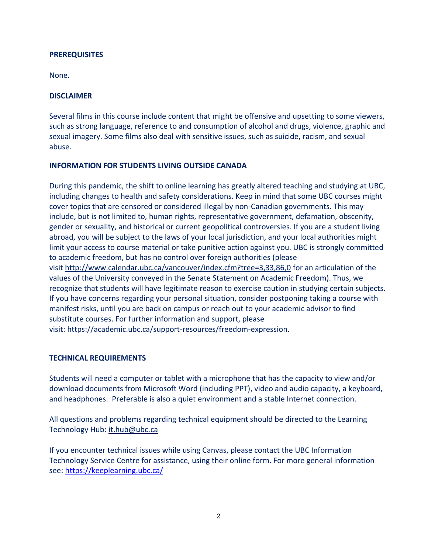### **PREREQUISITES**

None.

### **DISCLAIMER**

Several films in this course include content that might be offensive and upsetting to some viewers, such as strong language, reference to and consumption of alcohol and drugs, violence, graphic and sexual imagery. Some films also deal with sensitive issues, such as suicide, racism, and sexual abuse.

### **INFORMATION FOR STUDENTS LIVING OUTSIDE CANADA**

During this pandemic, the shift to online learning has greatly altered teaching and studying at UBC, including changes to health and safety considerations. Keep in mind that some UBC courses might cover topics that are censored or considered illegal by non-Canadian governments. This may include, but is not limited to, human rights, representative government, defamation, obscenity, gender or sexuality, and historical or current geopolitical controversies. If you are a student living abroad, you will be subject to the laws of your local jurisdiction, and your local authorities might limit your access to course material or take punitive action against you. UBC is strongly committed to academic freedom, but has no control over foreign authorities (please visit <http://www.calendar.ubc.ca/vancouver/index.cfm?tree=3,33,86,0> for an articulation of the values of the University conveyed in the Senate Statement on Academic Freedom). Thus, we recognize that students will have legitimate reason to exercise caution in studying certain subjects. If you have concerns regarding your personal situation, consider postponing taking a course with manifest risks, until you are back on campus or reach out to your academic advisor to find substitute courses. For further information and support, please visit: [https://academic.ubc.ca/support-resources/freedom-expression.](https://academic.ubc.ca/support-resources/freedom-expression)

### **TECHNICAL REQUIREMENTS**

Students will need a computer or tablet with a microphone that has the capacity to view and/or download documents from Microsoft Word (including PPT), video and audio capacity, a keyboard, and headphones. Preferable is also a quiet environment and a stable Internet connection.

All questions and problems regarding technical equipment should be directed to the Learning Technology Hub: [it.hub@ubc.ca](mailto:it.hub@ubc.ca)

If you encounter technical issues while using Canvas, please contact the UBC Information Technology Service Centre for assistance, using their online form. For more general information see:<https://keeplearning.ubc.ca/>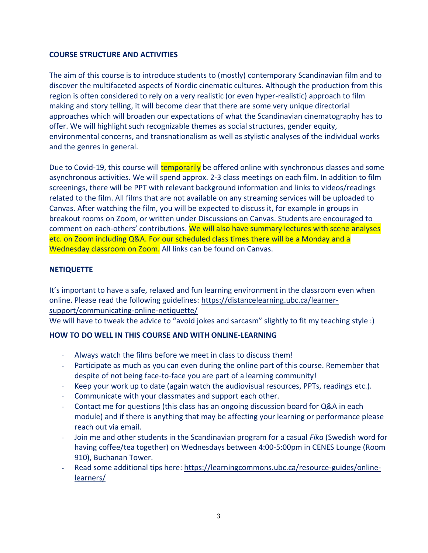# **COURSE STRUCTURE AND ACTIVITIES**

The aim of this course is to introduce students to (mostly) contemporary Scandinavian film and to discover the multifaceted aspects of Nordic cinematic cultures. Although the production from this region is often considered to rely on a very realistic (or even hyper-realistic) approach to film making and story telling, it will become clear that there are some very unique directorial approaches which will broaden our expectations of what the Scandinavian cinematography has to offer. We will highlight such recognizable themes as social structures, gender equity, environmental concerns, and transnationalism as well as stylistic analyses of the individual works and the genres in general.

Due to Covid-19, this course will **temporarily** be offered online with synchronous classes and some asynchronous activities. We will spend approx. 2-3 class meetings on each film. In addition to film screenings, there will be PPT with relevant background information and links to videos/readings related to the film. All films that are not available on any streaming services will be uploaded to Canvas. After watching the film, you will be expected to discuss it, for example in groups in breakout rooms on Zoom, or written under Discussions on Canvas. Students are encouraged to comment on each-others' contributions. We will also have summary lectures with scene analyses etc. on Zoom including Q&A. For our scheduled class times there will be a Monday and a Wednesday classroom on Zoom. All links can be found on Canvas.

# **NETIQUETTE**

It's important to have a safe, relaxed and fun learning environment in the classroom even when online. Please read the following guidelines: [https://distancelearning.ubc.ca/learner](https://distancelearning.ubc.ca/learner-support/communicating-online-netiquette/)[support/communicating-online-netiquette/](https://distancelearning.ubc.ca/learner-support/communicating-online-netiquette/)

We will have to tweak the advice to "avoid jokes and sarcasm" slightly to fit my teaching style :)

# **HOW TO DO WELL IN THIS COURSE AND WITH ONLINE-LEARNING**

- Always watch the films before we meet in class to discuss them!
- Participate as much as you can even during the online part of this course. Remember that despite of not being face-to-face you are part of a learning community!
- Keep your work up to date (again watch the audiovisual resources, PPTs, readings etc.).
- Communicate with your classmates and support each other.
- Contact me for questions (this class has an ongoing discussion board for Q&A in each module) and if there is anything that may be affecting your learning or performance please reach out via email.
- Join me and other students in the Scandinavian program for a casual *Fika* (Swedish word for having coffee/tea together) on Wednesdays between 4:00-5:00pm in CENES Lounge (Room 910), Buchanan Tower.
- Read some additional tips here: [https://learningcommons.ubc.ca/resource-guides/online](https://learningcommons.ubc.ca/resource-guides/online-learners/)[learners/](https://learningcommons.ubc.ca/resource-guides/online-learners/)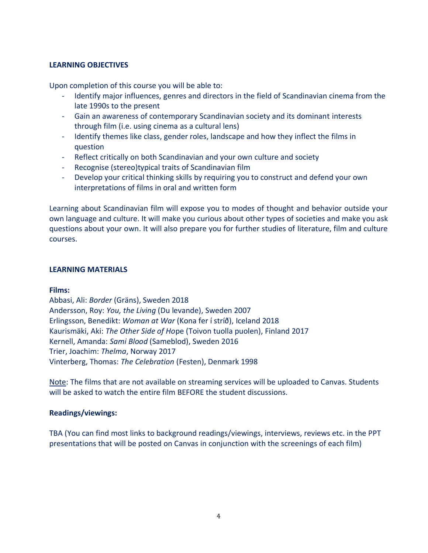# **LEARNING OBJECTIVES**

Upon completion of this course you will be able to:

- Identify major influences, genres and directors in the field of Scandinavian cinema from the late 1990s to the present
- Gain an awareness of contemporary Scandinavian society and its dominant interests through film (i.e. using cinema as a cultural lens)
- Identify themes like class, gender roles, landscape and how they inflect the films in question
- Reflect critically on both Scandinavian and your own culture and society
- Recognise (stereo)typical traits of Scandinavian film
- Develop your critical thinking skills by requiring you to construct and defend your own interpretations of films in oral and written form

Learning about Scandinavian film will expose you to modes of thought and behavior outside your own language and culture. It will make you curious about other types of societies and make you ask questions about your own. It will also prepare you for further studies of literature, film and culture courses.

### **LEARNING MATERIALS**

### **Films:**

Abbasi, Ali: *Border* (Gräns), Sweden 2018 Andersson, Roy: *You, the Living* (Du levande), Sweden 2007 Erlingsson, Benedikt: *Woman at War* (Kona fer í stríð), Iceland 2018 Kaurismäki, Aki: *The Other Side of Ho*pe (Toivon tuolla puolen), Finland 2017 Kernell, Amanda: *Sami Blood* (Sameblod), Sweden 2016 Trier, Joachim: *Thelma*, Norway 2017 Vinterberg, Thomas: *The Celebration* (Festen), Denmark 1998

Note: The films that are not available on streaming services will be uploaded to Canvas. Students will be asked to watch the entire film BEFORE the student discussions.

## **Readings/viewings:**

TBA (You can find most links to background readings/viewings, interviews, reviews etc. in the PPT presentations that will be posted on Canvas in conjunction with the screenings of each film)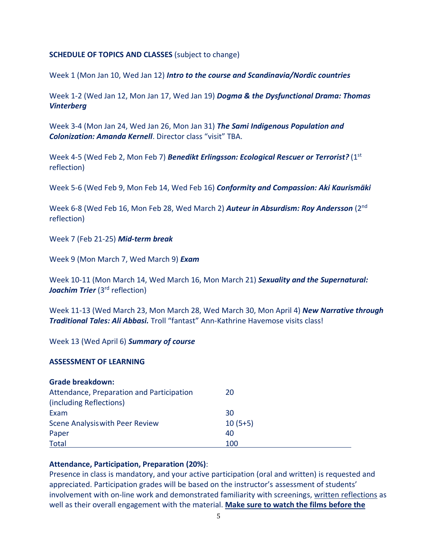### **SCHEDULE OF TOPICS AND CLASSES** (subject to change)

Week 1 (Mon Jan 10, Wed Jan 12) *Intro to the course and Scandinavia/Nordic countries*

Week 1-2 (Wed Jan 12, Mon Jan 17, Wed Jan 19) *Dogma & the Dysfunctional Drama: Thomas Vinterberg*

Week 3-4 (Mon Jan 24, Wed Jan 26, Mon Jan 31) *The Sami Indigenous Population and Colonization: Amanda Kernell*. Director class "visit" TBA.

Week 4-5 (Wed Feb 2, Mon Feb 7) *Benedikt Erlingsson: Ecological Rescuer or Terrorist?* (1st reflection)

Week 5-6 (Wed Feb 9, Mon Feb 14, Wed Feb 16) *Conformity and Compassion: Aki Kaurismäki*

Week 6-8 (Wed Feb 16, Mon Feb 28, Wed March 2) **Auteur in Absurdism: Roy Andersson** (2<sup>nd</sup> reflection)

Week 7 (Feb 21-25) *Mid-term break*

Week 9 (Mon March 7, Wed March 9) *Exam*

Week 10-11 (Mon March 14, Wed March 16, Mon March 21) *Sexuality and the Supernatural: Joachim Trier* (3<sup>rd</sup> reflection)

Week 11-13 (Wed March 23, Mon March 28, Wed March 30, Mon April 4) *New Narrative through Traditional Tales: Ali Abbasi.* Troll "fantast" Ann-Kathrine Havemose visits class!

Week 13 (Wed April 6) *Summary of course*

### **ASSESSMENT OF LEARNING**

| <b>Grade breakdown:</b>                   |           |  |
|-------------------------------------------|-----------|--|
| Attendance, Preparation and Participation | 20        |  |
| (including Reflections)                   |           |  |
| Exam                                      | 30        |  |
| <b>Scene Analysis with Peer Review</b>    | $10(5+5)$ |  |
| Paper                                     | 40        |  |
| <b>Total</b>                              | 100       |  |

## **Attendance, Participation, Preparation (20%)**:

Presence in class is mandatory, and your active participation (oral and written) is requested and appreciated. Participation grades will be based on the instructor's assessment of students' involvement with on-line work and demonstrated familiarity with screenings, written reflections as well as their overall engagement with the material. **Make sure to watch the films before the**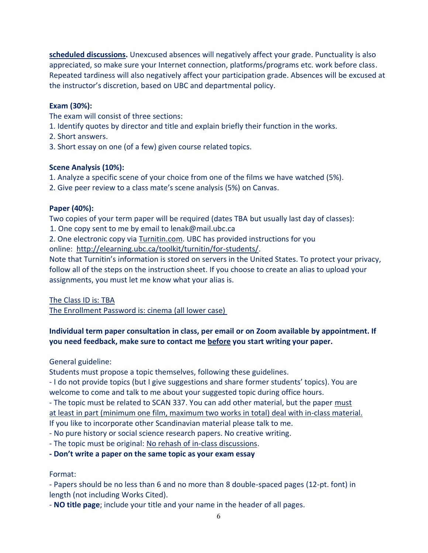**scheduled discussions.** Unexcused absences will negatively affect your grade. Punctuality is also appreciated, so make sure your Internet connection, platforms/programs etc. work before class. Repeated tardiness will also negatively affect your participation grade. Absences will be excused at the instructor's discretion, based on UBC and departmental policy.

# **Exam (30%):**

The exam will consist of three sections:

- 1. Identify quotes by director and title and explain briefly their function in the works.
- 2. Short answers.
- 3. Short essay on one (of a few) given course related topics.

# **Scene Analysis (10%):**

- 1. Analyze a specific scene of your choice from one of the films we have watched (5%).
- 2. Give peer review to a class mate's scene analysis (5%) on Canvas.

# **Paper (40%):**

Two copies of your term paper will be required (dates TBA but usually last day of classes):

1. One copy sent to me by email to lenak@mail.ubc.ca

2. One electronic copy via [Turnitin.com.](https://www.mail.ubc.ca/owa/redir.aspx?C=PdCYHA9F-Uq-Mc_ymK17ON3L7ozaL9IIhQ8nxLHQeOwEv73W0D4SpgsoabmETClYIldNWXGtmJE.&URL=https%3a%2f%2fwww.turnitin.com%2f) UBC has provided instructions for you online: [http://elearning.ubc.ca/toolkit/turnitin/for-students/.](https://www.mail.ubc.ca/owa/redir.aspx?C=PdCYHA9F-Uq-Mc_ymK17ON3L7ozaL9IIhQ8nxLHQeOwEv73W0D4SpgsoabmETClYIldNWXGtmJE.&URL=http%3a%2f%2felearning.ubc.ca%2ftoolkit%2fturnitin%2ffor-students%2f)

Note that Turnitin's information is stored on servers in the United States. To protect your privacy, follow all of the steps on the instruction sheet. If you choose to create an alias to upload your assignments, you must let me know what your alias is.

The Class ID is: TBA

The Enrollment Password is: cinema (all lower case)

# **Individual term paper consultation in class, per email or on Zoom available by appointment. If you need feedback, make sure to contact me before you start writing your paper.**

General guideline:

Students must propose a topic themselves, following these guidelines.

- I do not provide topics (but I give suggestions and share former students' topics). You are welcome to come and talk to me about your suggested topic during office hours.

- The topic must be related to SCAN 337. You can add other material, but the paper must at least in part (minimum one film, maximum two works in total) deal with in-class material. If you like to incorporate other Scandinavian material please talk to me.

- No pure history or social science research papers. No creative writing.
- The topic must be original: No rehash of in-class discussions.
- **- Don't write a paper on the same topic as your exam essay**

# Format:

- Papers should be no less than 6 and no more than 8 double-spaced pages (12-pt. font) in length (not including Works Cited).

- **NO title page**; include your title and your name in the header of all pages.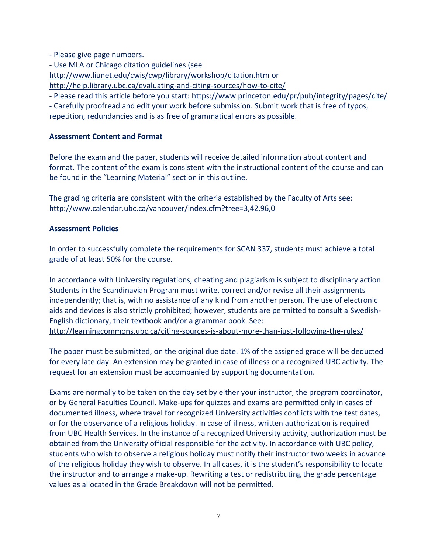- Please give page numbers.

- Use MLA or Chicago citation guidelines (see

<http://www.liunet.edu/cwis/cwp/library/workshop/citation.htm> or

<http://help.library.ubc.ca/evaluating-and-citing-sources/how-to-cite/>

- Please read this article before you start:<https://www.princeton.edu/pr/pub/integrity/pages/cite/>

- Carefully proofread and edit your work before submission. Submit work that is free of typos, repetition, redundancies and is as free of grammatical errors as possible.

# **Assessment Content and Format**

Before the exam and the paper, students will receive detailed information about content and format. The content of the exam is consistent with the instructional content of the course and can be found in the "Learning Material" section in this outline.

The grading criteria are consistent with the criteria established by the Faculty of Arts see: <http://www.calendar.ubc.ca/vancouver/index.cfm?tree=3,42,96,0>

## **Assessment Policies**

In order to successfully complete the requirements for SCAN 337, students must achieve a total grade of at least 50% for the course.

In accordance with University regulations, cheating and plagiarism is subject to disciplinary action. Students in the Scandinavian Program must write, correct and/or revise all their assignments independently; that is, with no assistance of any kind from another person. The use of electronic aids and devices is also strictly prohibited; however, students are permitted to consult a Swedish-English dictionary, their textbook and/or a grammar book. See:

<http://learningcommons.ubc.ca/citing-sources-is-about-more-than-just-following-the-rules/>

The paper must be submitted, on the original due date. 1% of the assigned grade will be deducted for every late day. An extension may be granted in case of illness or a recognized UBC activity. The request for an extension must be accompanied by supporting documentation.

Exams are normally to be taken on the day set by either your instructor, the program coordinator, or by General Faculties Council. Make-ups for quizzes and exams are permitted only in cases of documented illness, where travel for recognized University activities conflicts with the test dates, or for the observance of a religious holiday. In case of illness, written authorization is required from UBC Health Services. In the instance of a recognized University activity, authorization must be obtained from the University official responsible for the activity. In accordance with UBC policy, students who wish to observe a religious holiday must notify their instructor two weeks in advance of the religious holiday they wish to observe. In all cases, it is the student's responsibility to locate the instructor and to arrange a make-up. Rewriting a test or redistributing the grade percentage values as allocated in the Grade Breakdown will not be permitted.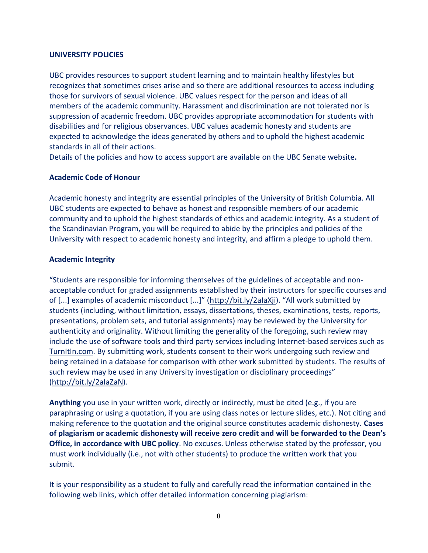### **UNIVERSITY POLICIES**

UBC provides resources to support student learning and to maintain healthy lifestyles but recognizes that sometimes crises arise and so there are additional resources to access including those for survivors of sexual violence. UBC values respect for the person and ideas of all members of the academic community. Harassment and discrimination are not tolerated nor is suppression of academic freedom. UBC provides appropriate accommodation for students with disabilities and for religious observances. UBC values academic honesty and students are expected to acknowledge the ideas generated by others and to uphold the highest academic standards in all of their actions.

Details of the policies and how to access support are available on [the UBC Senate website](https://senate.ubc.ca/policies-resources-support-student-success)**.**

## **Academic Code of Honour**

Academic honesty and integrity are essential principles of the University of British Columbia. All UBC students are expected to behave as honest and responsible members of our academic community and to uphold the highest standards of ethics and academic integrity. As a student of the Scandinavian Program, you will be required to abide by the principles and policies of the University with respect to academic honesty and integrity, and affirm a pledge to uphold them.

## **Academic Integrity**

"Students are responsible for informing themselves of the guidelines of acceptable and nonacceptable conduct for graded assignments established by their instructors for specific courses and of [...] examples of academic misconduct [...]" ([http://bit.ly/2aIaXji](https://www.mail.ubc.ca/owa/redir.aspx?C=SRWR6RgRKVNZU5VQ9f4tu8wdW5FUkyes6gxYhRYsRMyOenucdbDVCA..&URL=http%3a%2f%2fbit.ly%2f2aIaXji)). "All work submitted by students (including, without limitation, essays, dissertations, theses, examinations, tests, reports, presentations, problem sets, and tutorial assignments) may be reviewed by the University for authenticity and originality. Without limiting the generality of the foregoing, such review may include the use of software tools and third party services including Internet-based services such as [TurnItIn.com.](https://www.mail.ubc.ca/owa/redir.aspx?C=gbw3Ird0iF4Mg6AoKRthp4qXd1gXvXoGjXMFp8fY7EiOenucdbDVCA..&URL=http%3a%2f%2fTurnItIn.com) By submitting work, students consent to their work undergoing such review and being retained in a database for comparison with other work submitted by students. The results of such review may be used in any University investigation or disciplinary proceedings" [\(http://bit.ly/2aIaZaN\)](https://www.mail.ubc.ca/owa/redir.aspx?C=I_jhjRRKoLeTwYaR4_vR8yLqbRu9cxdzRTynECE-yfaOenucdbDVCA..&URL=http%3a%2f%2fbit.ly%2f2aIaZaN).

**Anything** you use in your written work, directly or indirectly, must be cited (e.g., if you are paraphrasing or using a quotation, if you are using class notes or lecture slides, etc.). Not citing and making reference to the quotation and the original source constitutes academic dishonesty. **Cases of plagiarism or academic dishonesty will receive zero credit and will be forwarded to the Dean's Office, in accordance with UBC policy**. No excuses. Unless otherwise stated by the professor, you must work individually (i.e., not with other students) to produce the written work that you submit.

It is your responsibility as a student to fully and carefully read the information contained in the following web links, which offer detailed information concerning plagiarism: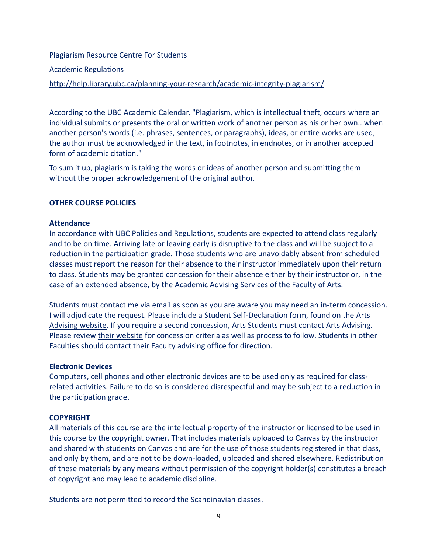### [Plagiarism Resource Centre For Students](http://www.library.ubc.ca/home/plagiarism/#_blank)

### [Academic Regulations](http://www.students.ubc.ca/calendar/index.cfm?tree=3,54,111,959#_blank)

## <http://help.library.ubc.ca/planning-your-research/academic-integrity-plagiarism/>

According to the UBC Academic Calendar, "Plagiarism, which is intellectual theft, occurs where an individual submits or presents the oral or written work of another person as his or her own...when another person's words (i.e. phrases, sentences, or paragraphs), ideas, or entire works are used, the author must be acknowledged in the text, in footnotes, in endnotes, or in another accepted form of academic citation."

To sum it up, plagiarism is taking the words or ideas of another person and submitting them without the proper acknowledgement of the original author.

### **OTHER COURSE POLICIES**

### **Attendance**

In accordance with UBC Policies and Regulations, students are expected to attend class regularly and to be on time. Arriving late or leaving early is disruptive to the class and will be subject to a reduction in the participation grade. Those students who are unavoidably absent from scheduled classes must report the reason for their absence to their instructor immediately upon their return to class. Students may be granted concession for their absence either by their instructor or, in the case of an extended absence, by the Academic Advising Services of the Faculty of Arts.

Students must contact me via email as soon as you are aware you may need an [in-term concession.](https://www.mail.ubc.ca/owa/redir.aspx?C=XA_Si1tbGcTX0wbcIagUJXXxrsAv60cOBoSj4Wq_9t-iP6B98jDXCA..&URL=http%3a%2f%2fwww.calendar.ubc.ca%2fvancouver%2findex.cfm%3ftree%3d3%2c329%2c0%2c0%2326592) I will adjudicate the request. Please include a Student Self-Declaration form, found on the [Arts](https://www.mail.ubc.ca/owa/redir.aspx?C=s0lJR-ns8OwKvgyVfw68SLkGDjwqdVd2CZb4KlKhdx2iP6B98jDXCA..&URL=https%3a%2f%2fstudents.arts.ubc.ca%2fadvising%2facademic-performance%2fhelp-academic-concession%2f)  [Advising website.](https://www.mail.ubc.ca/owa/redir.aspx?C=s0lJR-ns8OwKvgyVfw68SLkGDjwqdVd2CZb4KlKhdx2iP6B98jDXCA..&URL=https%3a%2f%2fstudents.arts.ubc.ca%2fadvising%2facademic-performance%2fhelp-academic-concession%2f) If you require a second concession, Arts Students must contact Arts Advising. Please review [their website](https://www.mail.ubc.ca/owa/redir.aspx?C=s0lJR-ns8OwKvgyVfw68SLkGDjwqdVd2CZb4KlKhdx2iP6B98jDXCA..&URL=https%3a%2f%2fstudents.arts.ubc.ca%2fadvising%2facademic-performance%2fhelp-academic-concession%2f) for concession criteria as well as process to follow. Students in other Faculties should contact their Faculty advising office for direction.

### **Electronic Devices**

Computers, cell phones and other electronic devices are to be used only as required for classrelated activities. Failure to do so is considered disrespectful and may be subject to a reduction in the participation grade.

## **COPYRIGHT**

All materials of this course are the intellectual property of the instructor or licensed to be used in this course by the copyright owner. That includes materials uploaded to Canvas by the instructor and shared with students on Canvas and are for the use of those students registered in that class, and only by them, and are not to be down-loaded, uploaded and shared elsewhere. Redistribution of these materials by any means without permission of the copyright holder(s) constitutes a breach of copyright and may lead to academic discipline.

Students are not permitted to record the Scandinavian classes.